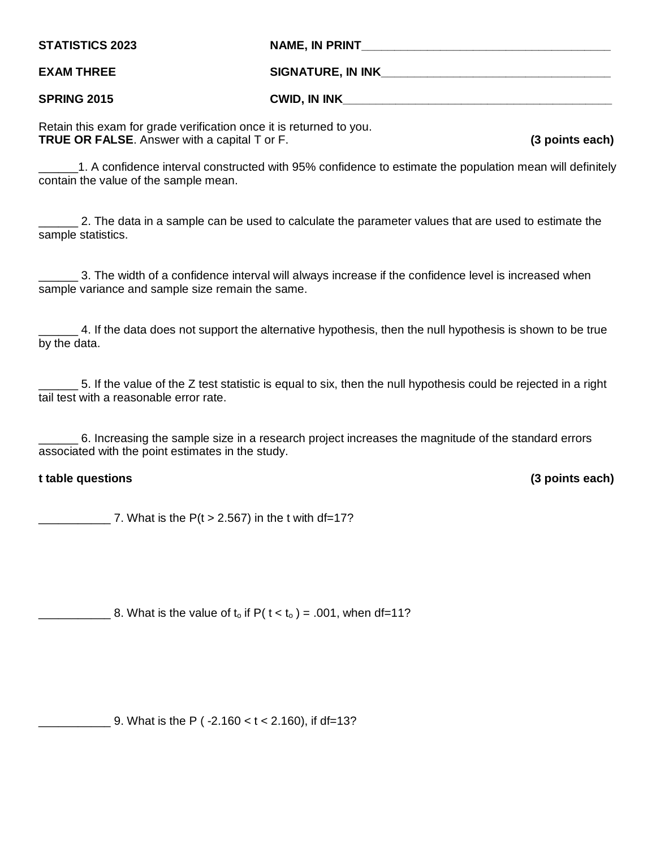| <b>STATISTICS 2023</b> | NAME, IN PRINT           |
|------------------------|--------------------------|
| <b>EXAM THREE</b>      | <b>SIGNATURE, IN INK</b> |
| <b>SPRING 2015</b>     | <b>CWID, IN INK</b>      |

Retain this exam for grade verification once it is returned to you. **TRUE OR FALSE**. Answer with a capital T or F. **(3 points each)**

\_\_\_\_\_\_1. A confidence interval constructed with 95% confidence to estimate the population mean will definitely contain the value of the sample mean.

2. The data in a sample can be used to calculate the parameter values that are used to estimate the sample statistics.

3. The width of a confidence interval will always increase if the confidence level is increased when sample variance and sample size remain the same.

4. If the data does not support the alternative hypothesis, then the null hypothesis is shown to be true by the data.

\_\_\_\_\_\_ 5. If the value of the Z test statistic is equal to six, then the null hypothesis could be rejected in a right tail test with a reasonable error rate.

\_\_\_\_\_\_ 6. Increasing the sample size in a research project increases the magnitude of the standard errors associated with the point estimates in the study.

## **t table questions (3 points each)**

7. What is the  $P(t > 2.567)$  in the t with df=17?

 $\frac{1}{2}$  8. What is the value of t<sub>o</sub> if P( t < t<sub>o</sub>) = .001, when df=11?

 $\frac{1}{2}$  9. What is the P (-2.160 < t < 2.160), if df=13?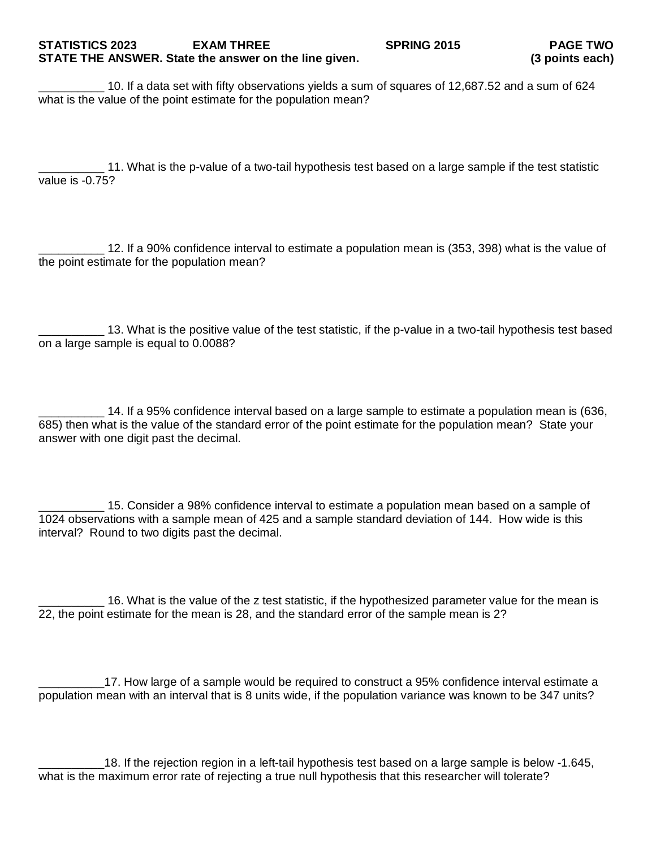# **STATISTICS 2023 EXAM THREE SPRING 2015 PAGE TWO STATE THE ANSWER. State the answer on the line given.**

\_\_\_\_\_\_\_\_\_\_ 10. If a data set with fifty observations yields a sum of squares of 12,687.52 and a sum of 624 what is the value of the point estimate for the population mean?

\_\_\_\_\_\_\_\_\_\_ 11. What is the p-value of a two-tail hypothesis test based on a large sample if the test statistic value is -0.75?

\_\_\_\_\_\_\_\_\_\_ 12. If a 90% confidence interval to estimate a population mean is (353, 398) what is the value of the point estimate for the population mean?

\_\_\_\_\_\_\_\_\_\_ 13. What is the positive value of the test statistic, if the p-value in a two-tail hypothesis test based on a large sample is equal to 0.0088?

\_\_\_\_\_\_\_\_\_\_ 14. If a 95% confidence interval based on a large sample to estimate a population mean is (636, 685) then what is the value of the standard error of the point estimate for the population mean? State your answer with one digit past the decimal.

15. Consider a 98% confidence interval to estimate a population mean based on a sample of 1024 observations with a sample mean of 425 and a sample standard deviation of 144. How wide is this interval? Round to two digits past the decimal.

\_\_\_\_\_\_\_\_\_\_ 16. What is the value of the z test statistic, if the hypothesized parameter value for the mean is 22, the point estimate for the mean is 28, and the standard error of the sample mean is 2?

\_\_\_\_\_\_\_\_\_\_17. How large of a sample would be required to construct a 95% confidence interval estimate a population mean with an interval that is 8 units wide, if the population variance was known to be 347 units?

18. If the rejection region in a left-tail hypothesis test based on a large sample is below -1.645, what is the maximum error rate of rejecting a true null hypothesis that this researcher will tolerate?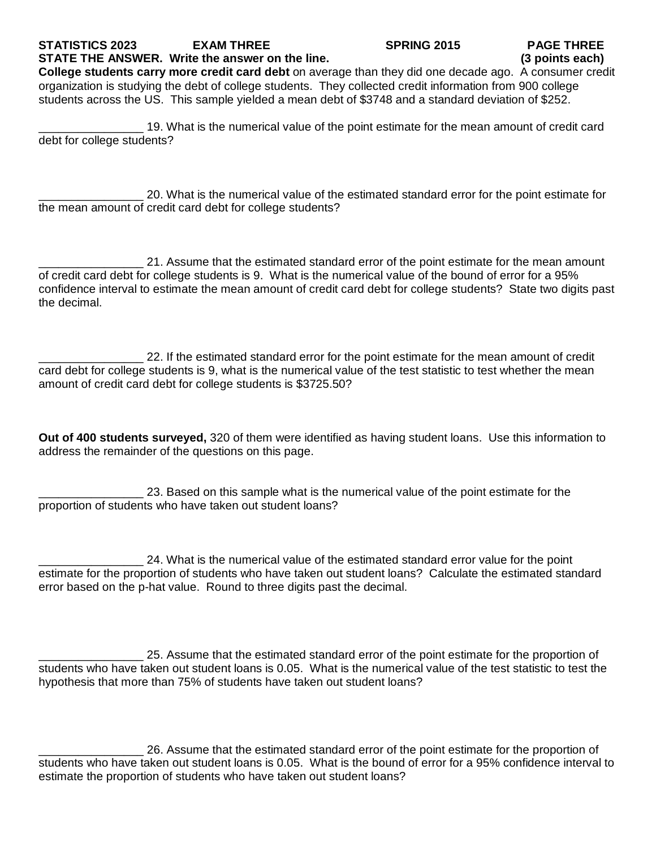### **STATISTICS 2023 EXAM THREE SPRING 2015 PAGE THREE STATE THE ANSWER. Write the answer on the line.**

**College students carry more credit card debt** on average than they did one decade ago. A consumer credit organization is studying the debt of college students. They collected credit information from 900 college students across the US. This sample yielded a mean debt of \$3748 and a standard deviation of \$252.

\_\_\_\_\_\_\_\_\_\_\_\_\_\_\_\_ 19. What is the numerical value of the point estimate for the mean amount of credit card debt for college students?

20. What is the numerical value of the estimated standard error for the point estimate for the mean amount of credit card debt for college students?

\_\_\_\_\_\_\_\_\_\_\_\_\_\_\_\_ 21. Assume that the estimated standard error of the point estimate for the mean amount of credit card debt for college students is 9. What is the numerical value of the bound of error for a 95% confidence interval to estimate the mean amount of credit card debt for college students? State two digits past the decimal.

\_\_\_\_\_\_\_\_\_\_\_\_\_\_\_\_ 22. If the estimated standard error for the point estimate for the mean amount of credit card debt for college students is 9, what is the numerical value of the test statistic to test whether the mean amount of credit card debt for college students is \$3725.50?

**Out of 400 students surveyed,** 320 of them were identified as having student loans. Use this information to address the remainder of the questions on this page.

\_\_\_\_\_\_\_\_\_\_\_\_\_\_\_\_ 23. Based on this sample what is the numerical value of the point estimate for the proportion of students who have taken out student loans?

\_\_\_\_\_\_\_\_\_\_\_\_\_\_\_\_ 24. What is the numerical value of the estimated standard error value for the point estimate for the proportion of students who have taken out student loans? Calculate the estimated standard error based on the p-hat value. Round to three digits past the decimal.

\_\_\_\_\_\_\_\_\_\_\_\_\_\_\_\_ 25. Assume that the estimated standard error of the point estimate for the proportion of students who have taken out student loans is 0.05. What is the numerical value of the test statistic to test the hypothesis that more than 75% of students have taken out student loans?

\_\_\_\_\_\_\_\_\_\_\_\_\_\_\_\_ 26. Assume that the estimated standard error of the point estimate for the proportion of students who have taken out student loans is 0.05. What is the bound of error for a 95% confidence interval to estimate the proportion of students who have taken out student loans?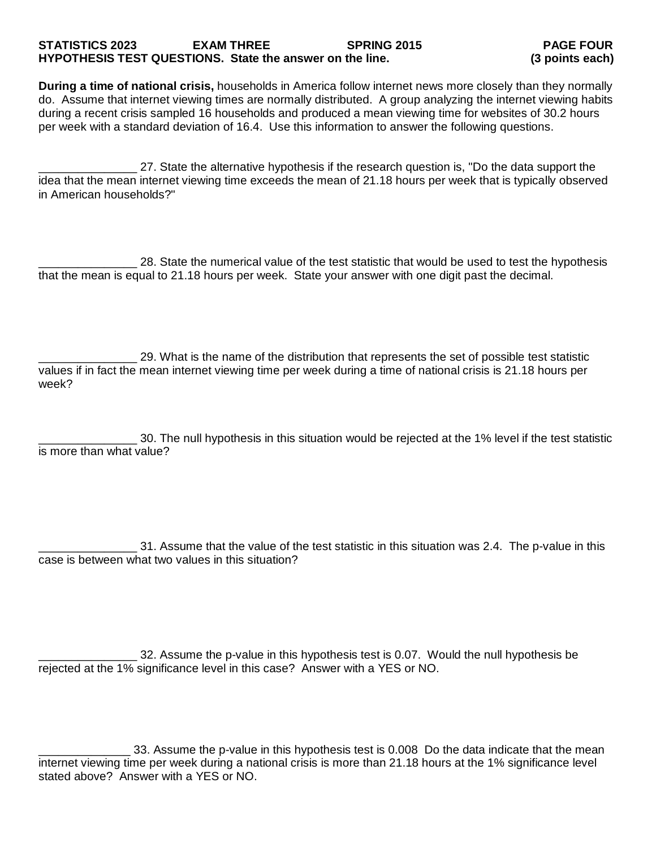## **STATISTICS 2023 EXAM THREE SPRING 2015 PAGE FOUR HYPOTHESIS TEST QUESTIONS. State the answer on the line.**

**During a time of national crisis,** households in America follow internet news more closely than they normally do. Assume that internet viewing times are normally distributed. A group analyzing the internet viewing habits during a recent crisis sampled 16 households and produced a mean viewing time for websites of 30.2 hours per week with a standard deviation of 16.4. Use this information to answer the following questions.

\_\_\_\_\_\_\_\_\_\_\_\_\_\_\_ 27. State the alternative hypothesis if the research question is, "Do the data support the idea that the mean internet viewing time exceeds the mean of 21.18 hours per week that is typically observed in American households?"

\_\_\_\_\_\_\_\_\_\_\_\_\_\_\_ 28. State the numerical value of the test statistic that would be used to test the hypothesis that the mean is equal to 21.18 hours per week. State your answer with one digit past the decimal.

\_\_\_\_\_\_\_\_\_\_\_\_\_\_\_ 29. What is the name of the distribution that represents the set of possible test statistic values if in fact the mean internet viewing time per week during a time of national crisis is 21.18 hours per week?

\_\_\_\_\_\_\_\_\_\_\_\_\_\_\_ 30. The null hypothesis in this situation would be rejected at the 1% level if the test statistic is more than what value?

\_\_\_\_\_\_\_\_\_\_\_\_\_\_\_ 31. Assume that the value of the test statistic in this situation was 2.4. The p-value in this case is between what two values in this situation?

\_\_\_\_\_\_\_\_\_\_\_\_\_\_\_ 32. Assume the p-value in this hypothesis test is 0.07. Would the null hypothesis be rejected at the 1% significance level in this case? Answer with a YES or NO.

\_\_\_\_\_\_\_\_\_\_\_\_\_\_ 33. Assume the p-value in this hypothesis test is 0.008 Do the data indicate that the mean internet viewing time per week during a national crisis is more than 21.18 hours at the 1% significance level stated above? Answer with a YES or NO.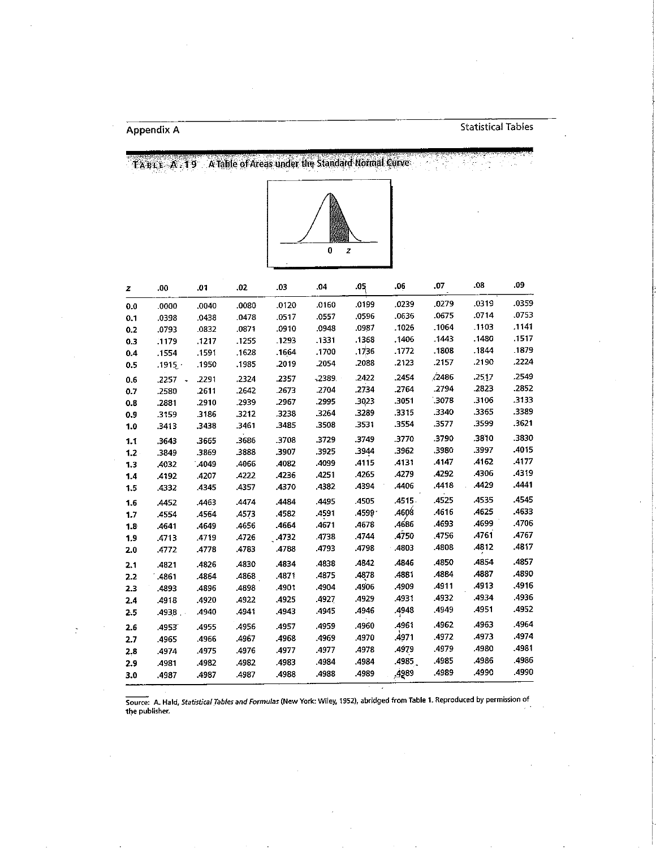TABLE A T9 A Table of Areas under the Standard Normal Curve



| z       | .00     | .01   | .02   | .03   | .04     | .05   | .06    | .07   | .08   | .09   |
|---------|---------|-------|-------|-------|---------|-------|--------|-------|-------|-------|
| 0.0     | .0000   | .0040 | .0080 | .0120 | .0160   | .0199 | .0239  | .0279 | .0319 | .0359 |
| 0.1     | .0398   | .0438 | .0478 | .0517 | .0557   | .0596 | .0636  | .0675 | .0714 | .0753 |
| 0.2     | .0793   | 0832  | .0871 | .0910 | .0948   | .0987 | .1026  | .1064 | .1103 | .1141 |
| 0.3     | .1179   | .1217 | .1255 | 1293  | .1331   | .1368 | .1406  | .1443 | .1480 | .1517 |
| 0.4     | .1554   | .1591 | .1628 | .1664 | .1700   | .1736 | .1772  | .1808 | .1844 | .1879 |
| 0.5     | .1915.7 | .1950 | .1985 | .2019 | .2054   | .2088 | .2123  | .2157 | .2190 | .2224 |
| 0.6     | .2257   | .2291 | .2324 | .2357 | $-2389$ | .2422 | .2454  | 2486  | .2517 | .2549 |
| 0.7     | .2580   | .2611 | .2642 | .2673 | .2704   | .2734 | .2764  | .2794 | .2823 | .2852 |
| 0.8     | .2881   | .2910 | .2939 | .2967 | .2995   | .3023 | .3051  | .3078 | .3106 | .3133 |
| 0.9     | .3159   | 3186  | .3212 | .3238 | .3264   | .3289 | .3315  | .3340 | .3365 | .3389 |
| 1.0     | 3413    | .3438 | .3461 | .3485 | .3508   | .3531 | .3554  | .3577 | .3599 | .3621 |
| 1,1     | .3643   | .3665 | .3686 | .3708 | .3729   | .3749 | .3770  | .3790 | .3810 | .3830 |
| $1.2 -$ | .3849   | .3869 | .3888 | .3907 | .3925   | .3944 | .3962  | .3980 | .3997 | .4015 |
| 1.3     | .4032   | .4049 | .4066 | .4082 | .4099   | .4115 | .4131  | .4147 | .4162 | .4177 |
| 1.4     | 4192    | .4207 | .4222 | .4236 | .4251   | .4265 | .4279  | .4292 | .4306 | .4319 |
| 1.5     | 4332    | .4345 | .4357 | .4370 | .4382   | .4394 | .4406  | .4418 | .4429 | .4441 |
| 1.6     | .4452   | .4463 | 4474  | .4484 | .4495   | .4505 | .4515. | .4525 | .4535 | .4545 |
| 1.7     | 4554    | .4564 | .4573 | .4582 | .4591   | .4599 | .4608  | .4616 | .4625 | .4633 |
| 1.8     | .4641   | .4649 | .4656 | .4664 | .4671   | .4678 | .4686  | .4693 | .4699 | .4706 |
| 1,9     | .4713   | .4719 | .4726 | .4732 | .4738   | .4744 | .4750  | .4756 | A761  | .4767 |
| 2.0     | .4772   | .4778 | .4783 | .4788 | .4793   | .4798 | .4803  | .4808 | .4812 | .4817 |
| 2.1     | 4821    | .4826 | .4830 | .4834 | .4838   | .4842 | .4846  | .4850 | .4854 | .4857 |
| 2.2     | 4861    | .4864 | .4868 | .4871 | .4875   | .4878 | .4881  | .4884 | .4887 | .4890 |
| 2.3     | 4893    | .4896 | .4898 | .4901 | .4904   | .4906 | .4909  | .4911 | .4913 | .4916 |
| 2.4     | 4918    | .4920 | .4922 | .4925 | .4927   | .4929 | .4931  | .4932 | .4934 | .4936 |
| 2.5     | .4938   | .4940 | .4941 | .4943 | .4945   | .4946 | .4948  | .4949 | .4951 | .4952 |
| 2.6     | .4955   | .4955 | .4956 | .4957 | .4959   | .4960 | .4961  | .4962 | .4963 | .4964 |
| 2.7     | .4965   | .4966 | .4967 | .4968 | .4969   | .4970 | ,4971  | .4972 | .4973 | .4974 |
| 2.8     | 4974    | .4975 | 4976  | .4977 | .4977   | .4978 | .4979  | .4979 | .4980 | .4981 |
| 2.9     | .4981   | .4982 | .4982 | .4983 | .4984   | .4984 | .4985  | .4985 | .4986 | .4986 |
| 3.0     | .4987   | .4987 | .4987 | .4988 | .4988   | .4989 | .4989  | .4989 | .4990 | .4990 |
|         |         |       |       |       |         |       |        |       |       |       |

Source: A. Hald, Statistical Tables and Formulas (New York: Wiley, 1952), abridged from Table 1. Reproduced by permission of<br>the publisher.